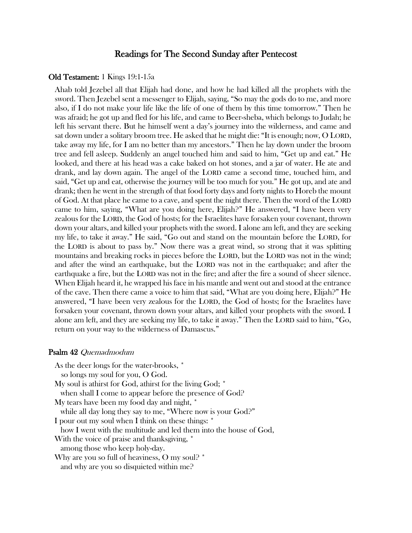# Readings for The Second Sunday after Pentecost

# Old Testament: 1 Kings 19:1-15a

Ahab told Jezebel all that Elijah had done, and how he had killed all the prophets with the sword. Then Jezebel sent a messenger to Elijah, saying, "So may the gods do to me, and more also, if I do not make your life like the life of one of them by this time tomorrow." Then he was afraid; he got up and fled for his life, and came to Beer-sheba, which belongs to Judah; he left his servant there. But he himself went a day's journey into the wilderness, and came and sat down under a solitary broom tree. He asked that he might die: "It is enough; now, O LORD, take away my life, for I am no better than my ancestors." Then he lay down under the broom tree and fell asleep. Suddenly an angel touched him and said to him, "Get up and eat." He looked, and there at his head was a cake baked on hot stones, and a jar of water. He ate and drank, and lay down again. The angel of the LORD came a second time, touched him, and said, "Get up and eat, otherwise the journey will be too much for you." He got up, and ate and drank; then he went in the strength of that food forty days and forty nights to Horeb the mount of God. At that place he came to a cave, and spent the night there. Then the word of the LORD came to him, saying, "What are you doing here, Elijah?" He answered, "I have been very zealous for the LORD, the God of hosts; for the Israelites have forsaken your covenant, thrown down your altars, and killed your prophets with the sword. I alone am left, and they are seeking my life, to take it away." He said, "Go out and stand on the mountain before the LORD, for the LORD is about to pass by." Now there was a great wind, so strong that it was splitting mountains and breaking rocks in pieces before the LORD, but the LORD was not in the wind; and after the wind an earthquake, but the LORD was not in the earthquake; and after the earthquake a fire, but the LORD was not in the fire; and after the fire a sound of sheer silence. When Elijah heard it, he wrapped his face in his mantle and went out and stood at the entrance of the cave. Then there came a voice to him that said, "What are you doing here, Elijah?" He answered, "I have been very zealous for the LORD, the God of hosts; for the Israelites have forsaken your covenant, thrown down your altars, and killed your prophets with the sword. I alone am left, and they are seeking my life, to take it away." Then the LORD said to him, "Go, return on your way to the wilderness of Damascus."

#### Psalm 42 Quemadmodum

As the deer longs for the water-brooks, \* so longs my soul for you, O God. My soul is athirst for God, athirst for the living God; \* when shall I come to appear before the presence of God? My tears have been my food day and night, \* while all day long they say to me, "Where now is your God?" I pour out my soul when I think on these things: \* how I went with the multitude and led them into the house of God, With the voice of praise and thanksgiving, \* among those who keep holy-day. Why are you so full of heaviness, O my soul? \* and why are you so disquieted within me?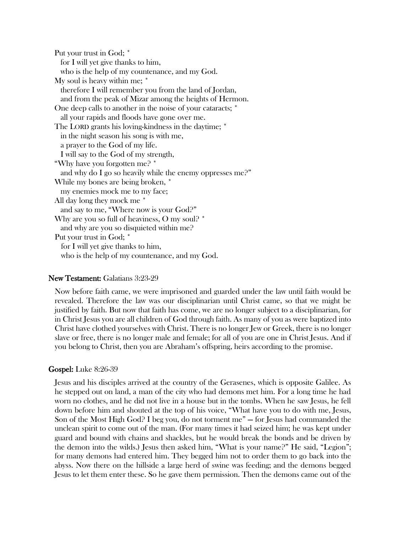Put your trust in God; \* for I will yet give thanks to him, who is the help of my countenance, and my God. My soul is heavy within me; \* therefore I will remember you from the land of Jordan, and from the peak of Mizar among the heights of Hermon. One deep calls to another in the noise of your cataracts; \* all your rapids and floods have gone over me. The LORD grants his loving-kindness in the daytime; \* in the night season his song is with me, a prayer to the God of my life. I will say to the God of my strength, "Why have you forgotten me? \* and why do I go so heavily while the enemy oppresses me?" While my bones are being broken, \* my enemies mock me to my face; All day long they mock me \* and say to me, "Where now is your God?" Why are you so full of heaviness, O my soul? \* and why are you so disquieted within me? Put your trust in God; \* for I will yet give thanks to him, who is the help of my countenance, and my God.

# New Testament: Galatians 3:23-29

Now before faith came, we were imprisoned and guarded under the law until faith would be revealed. Therefore the law was our disciplinarian until Christ came, so that we might be justified by faith. But now that faith has come, we are no longer subject to a disciplinarian, for in Christ Jesus you are all children of God through faith. As many of you as were baptized into Christ have clothed yourselves with Christ. There is no longer Jew or Greek, there is no longer slave or free, there is no longer male and female; for all of you are one in Christ Jesus. And if you belong to Christ, then you are Abraham's offspring, heirs according to the promise.

# Gospel: Luke 8:26-39

Jesus and his disciples arrived at the country of the Gerasenes, which is opposite Galilee. As he stepped out on land, a man of the city who had demons met him. For a long time he had worn no clothes, and he did not live in a house but in the tombs. When he saw Jesus, he fell down before him and shouted at the top of his voice, "What have you to do with me, Jesus, Son of the Most High God? I beg you, do not torment me" — for Jesus had commanded the unclean spirit to come out of the man. (For many times it had seized him; he was kept under guard and bound with chains and shackles, but he would break the bonds and be driven by the demon into the wilds.) Jesus then asked him, "What is your name?" He said, "Legion"; for many demons had entered him. They begged him not to order them to go back into the abyss. Now there on the hillside a large herd of swine was feeding; and the demons begged Jesus to let them enter these. So he gave them permission. Then the demons came out of the